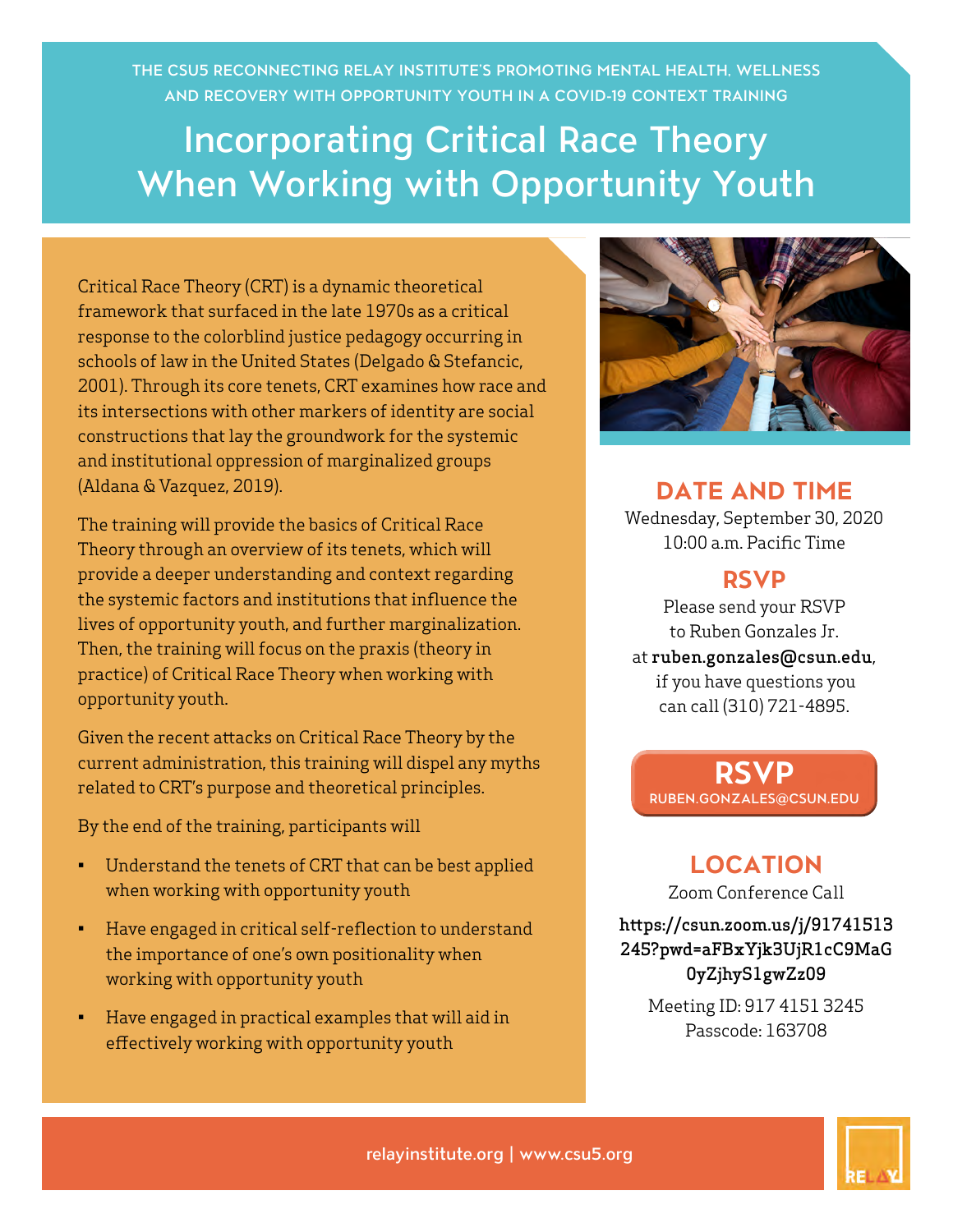THE CSU5 RECONNECTING RELAY INSTITUTE'S PROMOTING MENTAL HEALTH, WELLNESS AND RECOVERY WITH OPPORTUNITY YOUTH IN A COVID-19 CONTEXT TRAINING

## Incorporating Critical Race Theory When Working with Opportunity Youth

Critical Race Theory (CRT) is a dynamic theoretical framework that surfaced in the late 1970s as a critical response to the colorblind justice pedagogy occurring in schools of law in the United States (Delgado & Stefancic, 2001). Through its core tenets, CRT examines how race and its intersections with other markers of identity are social constructions that lay the groundwork for the systemic and institutional oppression of marginalized groups (Aldana & Vazquez, 2019).

The training will provide the basics of Critical Race Theory through an overview of its tenets, which will provide a deeper understanding and context regarding the systemic factors and institutions that influence the lives of opportunity youth, and further marginalization. Then, the training will focus on the praxis (theory in practice) of Critical Race Theory when working with opportunity youth.

Given the recent attacks on Critical Race Theory by the current administration, this training will dispel any myths related to CRT's purpose and theoretical principles.

By the end of the training, participants will

- Understand the tenets of CRT that can be best applied when working with opportunity youth
- Have engaged in critical self-reflection to understand the importance of one's own positionality when working with opportunity youth
- Have engaged in practical examples that will aid in effectively working with opportunity youth



**DATE AND TIME** 

Wednesday, September 30, 2020 10:00 a.m. Pacific Time

## **RSVP**

Please send your RSVP to Ruben Gonzales Jr. at ruben.gonzales@csun.edu, if you have questions you can call (310) 721-4895.

**RSVP** [RUBEN.GONZALES@CSUN.EDU](mailto:ruben.gonzales%40csun.edu?subject=)

**LOCATION**

Zoom Conference Call

[https://csun.zoom.us/j/91741513](https://csun.zoom.us/j/91741513245?pwd=aFBxYjk3UjR1cC9MaG0yZjhyS1gwZz09) [245?pwd=aFBxYjk3UjR1cC9MaG](https://csun.zoom.us/j/91741513245?pwd=aFBxYjk3UjR1cC9MaG0yZjhyS1gwZz09) [0yZjhyS1gwZz09](https://csun.zoom.us/j/91741513245?pwd=aFBxYjk3UjR1cC9MaG0yZjhyS1gwZz09)

> Meeting ID: 917 4151 3245 Passcode: 163708